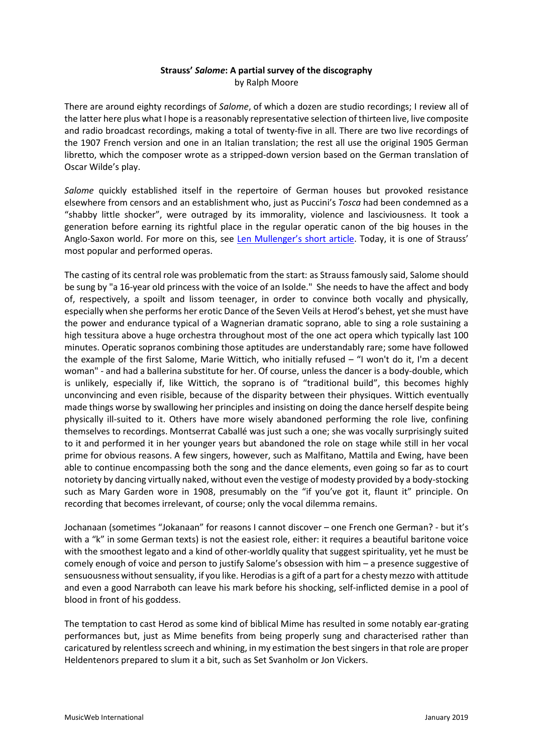## **Strauss'** *Salome***: A partial survey of the discography** by Ralph Moore

There are around eighty recordings of *Salome*, of which a dozen are studio recordings; I review all of the latter here plus what I hope is a reasonably representative selection of thirteen live, live composite and radio broadcast recordings, making a total of twenty-five in all. There are two live recordings of the 1907 French version and one in an Italian translation; the rest all use the original 1905 German libretto, which the composer wrote as a stripped-down version based on the German translation of Oscar Wilde's play.

*Salome* quickly established itself in the repertoire of German houses but provoked resistance elsewhere from censors and an establishment who, just as Puccini's *Tosca* had been condemned as a "shabby little shocker", were outraged by its immorality, violence and lasciviousness. It took a generation before earning its rightful place in the regular operatic canon of the big houses in the Anglo-Saxon world. For more on this, see [Len Mullenger's short article](http://www.musicweb-international.com/salome.htm). Today, it is one of Strauss' most popular and performed operas.

The casting of its central role was problematic from the start: as Strauss famously said, Salome should be sung by "a 16-year old princess with the voice of an Isolde." She needs to have the affect and body of, respectively, a spoilt and lissom teenager, in order to convince both vocally and physically, especially when she performs her erotic Dance of the Seven Veils at Herod's behest, yet she must have the power and endurance typical of a Wagnerian dramatic soprano, able to sing a role sustaining a high tessitura above a huge orchestra throughout most of the one act opera which typically last 100 minutes. Operatic sopranos combining those aptitudes are understandably rare; some have followed the example of the first Salome, Marie Wittich, who initially refused – "I won't do it, I'm a decent woman" - and had a ballerina substitute for her. Of course, unless the dancer is a body-double, which is unlikely, especially if, like Wittich, the soprano is of "traditional build", this becomes highly unconvincing and even risible, because of the disparity between their physiques. Wittich eventually made things worse by swallowing her principles and insisting on doing the dance herself despite being physically ill-suited to it. Others have more wisely abandoned performing the role live, confining themselves to recordings. Montserrat Caballé was just such a one; she was vocally surprisingly suited to it and performed it in her younger years but abandoned the role on stage while still in her vocal prime for obvious reasons. A few singers, however, such as Malfitano, Mattila and Ewing, have been able to continue encompassing both the song and the dance elements, even going so far as to court notoriety by dancing virtually naked, without even the vestige of modesty provided by a body-stocking such as Mary Garden wore in 1908, presumably on the "if you've got it, flaunt it" principle. On recording that becomes irrelevant, of course; only the vocal dilemma remains.

Jochanaan (sometimes "Jokanaan" for reasons I cannot discover – one French one German? - but it's with a "k" in some German texts) is not the easiest role, either: it requires a beautiful baritone voice with the smoothest legato and a kind of other-worldly quality that suggest spirituality, yet he must be comely enough of voice and person to justify Salome's obsession with him – a presence suggestive of sensuousness without sensuality, if you like. Herodias is a gift of a part for a chesty mezzo with attitude and even a good Narraboth can leave his mark before his shocking, self-inflicted demise in a pool of blood in front of his goddess.

The temptation to cast Herod as some kind of biblical Mime has resulted in some notably ear-grating performances but, just as Mime benefits from being properly sung and characterised rather than caricatured by relentless screech and whining, in my estimation the best singers in that role are proper Heldentenors prepared to slum it a bit, such as Set Svanholm or Jon Vickers.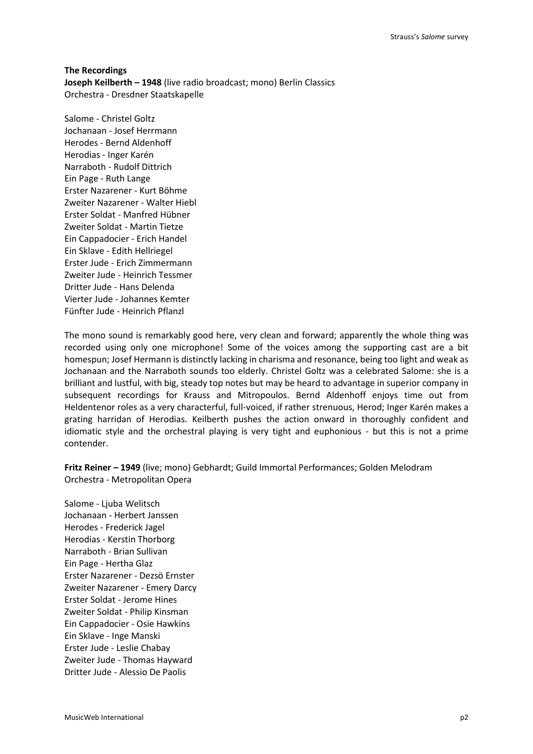**The Recordings Joseph Keilberth – 1948** (live radio broadcast; mono) Berlin Classics Orchestra - Dresdner Staatskapelle

Salome - Christel Goltz Jochanaan - Josef Herrmann Herodes - Bernd Aldenhoff Herodias - Inger Karén Narraboth - Rudolf Dittrich Ein Page - Ruth Lange Erster Nazarener - Kurt Böhme Zweiter Nazarener - Walter Hiebl Erster Soldat - Manfred Hübner Zweiter Soldat - Martin Tietze Ein Cappadocier - Erich Handel Ein Sklave - Edith Hellriegel Erster Jude - Erich Zimmermann Zweiter Jude - Heinrich Tessmer Dritter Jude - Hans Delenda Vierter Jude - Johannes Kemter Fünfter Jude - Heinrich Pflanzl

The mono sound is remarkably good here, very clean and forward; apparently the whole thing was recorded using only one microphone! Some of the voices among the supporting cast are a bit homespun; Josef Hermann is distinctly lacking in charisma and resonance, being too light and weak as Jochanaan and the Narraboth sounds too elderly. Christel Goltz was a celebrated Salome: she is a brilliant and lustful, with big, steady top notes but may be heard to advantage in superior company in subsequent recordings for Krauss and Mitropoulos. Bernd Aldenhoff enjoys time out from Heldentenor roles as a very characterful, full-voiced, if rather strenuous, Herod; Inger Karén makes a grating harridan of Herodias. Keilberth pushes the action onward in thoroughly confident and idiomatic style and the orchestral playing is very tight and euphonious - but this is not a prime contender.

**Fritz Reiner – 1949** (live; mono) Gebhardt; Guild Immortal Performances; Golden Melodram Orchestra - Metropolitan Opera

Salome - Ljuba Welitsch Jochanaan - Herbert Janssen Herodes - Frederick Jagel Herodias - Kerstin Thorborg Narraboth - Brian Sullivan Ein Page - Hertha Glaz Erster Nazarener - Dezsö Ernster Zweiter Nazarener - Emery Darcy Erster Soldat - Jerome Hines Zweiter Soldat - Philip Kinsman Ein Cappadocier - Osie Hawkins Ein Sklave - Inge Manski Erster Jude - Leslie Chabay Zweiter Jude - Thomas Hayward Dritter Jude - Alessio De Paolis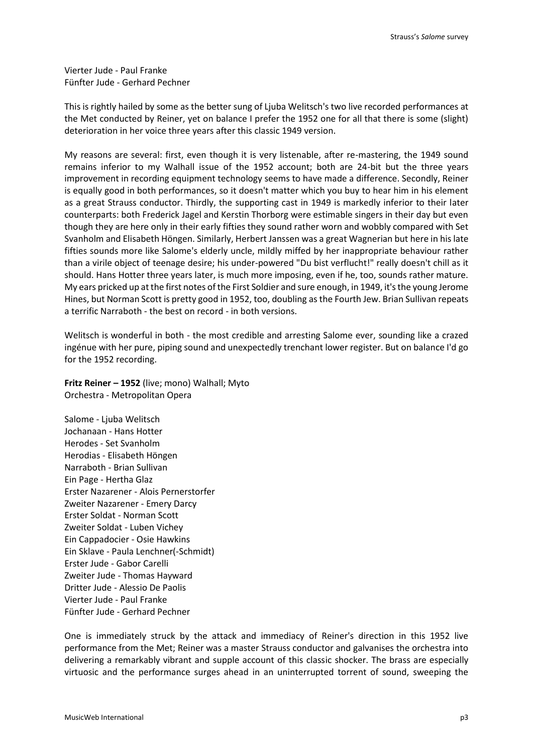Vierter Jude - Paul Franke Fünfter Jude - Gerhard Pechner

This is rightly hailed by some as the better sung of Ljuba Welitsch's two live recorded performances at the Met conducted by Reiner, yet on balance I prefer the 1952 one for all that there is some (slight) deterioration in her voice three years after this classic 1949 version.

My reasons are several: first, even though it is very listenable, after re-mastering, the 1949 sound remains inferior to my Walhall issue of the 1952 account; both are 24-bit but the three years improvement in recording equipment technology seems to have made a difference. Secondly, Reiner is equally good in both performances, so it doesn't matter which you buy to hear him in his element as a great Strauss conductor. Thirdly, the supporting cast in 1949 is markedly inferior to their later counterparts: both Frederick Jagel and Kerstin Thorborg were estimable singers in their day but even though they are here only in their early fifties they sound rather worn and wobbly compared with Set Svanholm and Elisabeth Höngen. Similarly, Herbert Janssen was a great Wagnerian but here in his late fifties sounds more like Salome's elderly uncle, mildly miffed by her inappropriate behaviour rather than a virile object of teenage desire; his under-powered "Du bist verflucht!" really doesn't chill as it should. Hans Hotter three years later, is much more imposing, even if he, too, sounds rather mature. My ears pricked up at the first notes of the First Soldier and sure enough, in 1949, it's the young Jerome Hines, but Norman Scott is pretty good in 1952, too, doubling as the Fourth Jew. Brian Sullivan repeats a terrific Narraboth - the best on record - in both versions.

Welitsch is wonderful in both - the most credible and arresting Salome ever, sounding like a crazed ingénue with her pure, piping sound and unexpectedly trenchant lower register. But on balance I'd go for the 1952 recording.

**Fritz Reiner – 1952** (live; mono) Walhall; Myto Orchestra - Metropolitan Opera

Salome - Ljuba Welitsch Jochanaan - Hans Hotter Herodes - Set Svanholm Herodias - Elisabeth Höngen Narraboth - Brian Sullivan Ein Page - Hertha Glaz Erster Nazarener - Alois Pernerstorfer Zweiter Nazarener - Emery Darcy Erster Soldat - Norman Scott Zweiter Soldat - Luben Vichey Ein Cappadocier - Osie Hawkins Ein Sklave - Paula Lenchner(-Schmidt) Erster Jude - Gabor Carelli Zweiter Jude - Thomas Hayward Dritter Jude - Alessio De Paolis Vierter Jude - Paul Franke Fünfter Jude - Gerhard Pechner

One is immediately struck by the attack and immediacy of Reiner's direction in this 1952 live performance from the Met; Reiner was a master Strauss conductor and galvanises the orchestra into delivering a remarkably vibrant and supple account of this classic shocker. The brass are especially virtuosic and the performance surges ahead in an uninterrupted torrent of sound, sweeping the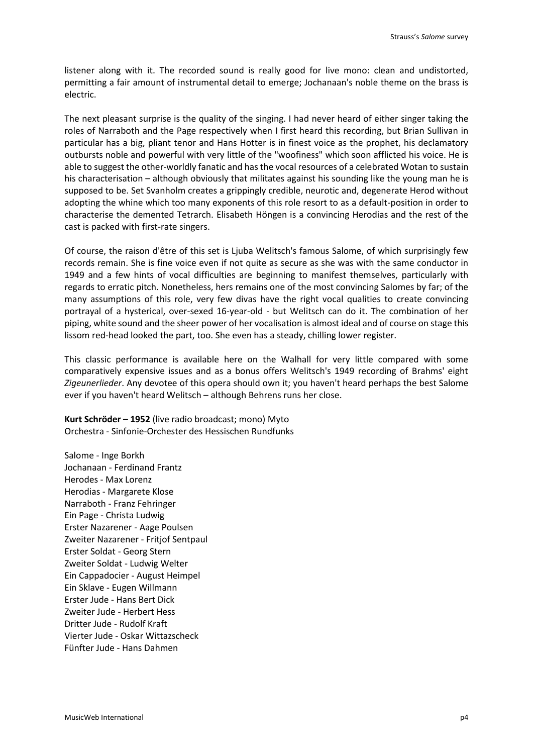listener along with it. The recorded sound is really good for live mono: clean and undistorted, permitting a fair amount of instrumental detail to emerge; Jochanaan's noble theme on the brass is electric.

The next pleasant surprise is the quality of the singing. I had never heard of either singer taking the roles of Narraboth and the Page respectively when I first heard this recording, but Brian Sullivan in particular has a big, pliant tenor and Hans Hotter is in finest voice as the prophet, his declamatory outbursts noble and powerful with very little of the "woofiness" which soon afflicted his voice. He is able to suggest the other-worldly fanatic and has the vocal resources of a celebrated Wotan to sustain his characterisation – although obviously that militates against his sounding like the young man he is supposed to be. Set Svanholm creates a grippingly credible, neurotic and, degenerate Herod without adopting the whine which too many exponents of this role resort to as a default-position in order to characterise the demented Tetrarch. Elisabeth Höngen is a convincing Herodias and the rest of the cast is packed with first-rate singers.

Of course, the raison d'être of this set is Ljuba Welitsch's famous Salome, of which surprisingly few records remain. She is fine voice even if not quite as secure as she was with the same conductor in 1949 and a few hints of vocal difficulties are beginning to manifest themselves, particularly with regards to erratic pitch. Nonetheless, hers remains one of the most convincing Salomes by far; of the many assumptions of this role, very few divas have the right vocal qualities to create convincing portrayal of a hysterical, over-sexed 16-year-old - but Welitsch can do it. The combination of her piping, white sound and the sheer power of her vocalisation is almost ideal and of course on stage this lissom red-head looked the part, too. She even has a steady, chilling lower register.

This classic performance is available here on the Walhall for very little compared with some comparatively expensive issues and as a bonus offers Welitsch's 1949 recording of Brahms' eight *Zigeunerlieder*. Any devotee of this opera should own it; you haven't heard perhaps the best Salome ever if you haven't heard Welitsch – although Behrens runs her close.

**Kurt Schröder – 1952** (live radio broadcast; mono) Myto Orchestra - Sinfonie-Orchester des Hessischen Rundfunks

Salome - Inge Borkh Jochanaan - Ferdinand Frantz Herodes - Max Lorenz Herodias - Margarete Klose Narraboth - Franz Fehringer Ein Page - Christa Ludwig Erster Nazarener - Aage Poulsen Zweiter Nazarener - Fritjof Sentpaul Erster Soldat - Georg Stern Zweiter Soldat - Ludwig Welter Ein Cappadocier - August Heimpel Ein Sklave - Eugen Willmann Erster Jude - Hans Bert Dick Zweiter Jude - Herbert Hess Dritter Jude - Rudolf Kraft Vierter Jude - Oskar Wittazscheck Fünfter Jude - Hans Dahmen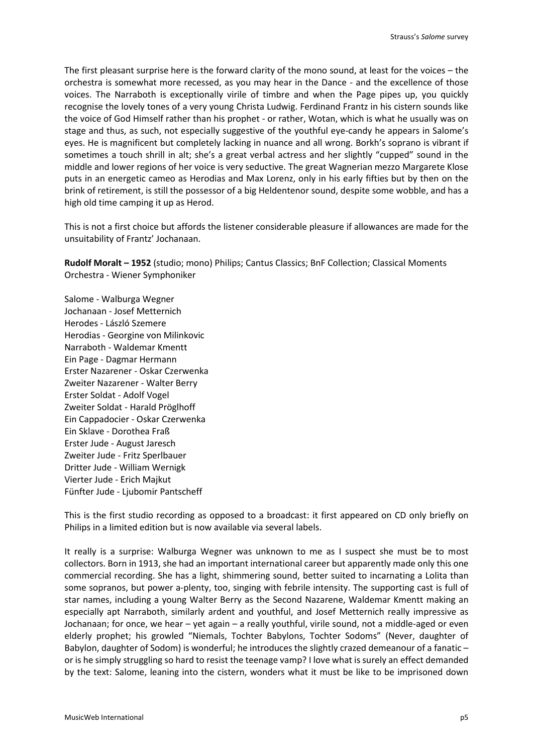The first pleasant surprise here is the forward clarity of the mono sound, at least for the voices – the orchestra is somewhat more recessed, as you may hear in the Dance - and the excellence of those voices. The Narraboth is exceptionally virile of timbre and when the Page pipes up, you quickly recognise the lovely tones of a very young Christa Ludwig. Ferdinand Frantz in his cistern sounds like the voice of God Himself rather than his prophet - or rather, Wotan, which is what he usually was on stage and thus, as such, not especially suggestive of the youthful eye-candy he appears in Salome's eyes. He is magnificent but completely lacking in nuance and all wrong. Borkh's soprano is vibrant if sometimes a touch shrill in alt; she's a great verbal actress and her slightly "cupped" sound in the middle and lower regions of her voice is very seductive. The great Wagnerian mezzo Margarete Klose puts in an energetic cameo as Herodias and Max Lorenz, only in his early fifties but by then on the brink of retirement, is still the possessor of a big Heldentenor sound, despite some wobble, and has a high old time camping it up as Herod.

This is not a first choice but affords the listener considerable pleasure if allowances are made for the unsuitability of Frantz' Jochanaan.

**Rudolf Moralt – 1952** (studio; mono) Philips; Cantus Classics; BnF Collection; Classical Moments Orchestra - Wiener Symphoniker

Salome - Walburga Wegner Jochanaan - Josef Metternich Herodes - László Szemere Herodias - Georgine von Milinkovic Narraboth - Waldemar Kmentt Ein Page - Dagmar Hermann Erster Nazarener - Oskar Czerwenka Zweiter Nazarener - Walter Berry Erster Soldat - Adolf Vogel Zweiter Soldat - Harald Pröglhoff Ein Cappadocier - Oskar Czerwenka Ein Sklave - Dorothea Fraß Erster Jude - August Jaresch Zweiter Jude - Fritz Sperlbauer Dritter Jude - William Wernigk Vierter Jude - Erich Majkut Fünfter Jude - Ljubomir Pantscheff

This is the first studio recording as opposed to a broadcast: it first appeared on CD only briefly on Philips in a limited edition but is now available via several labels.

It really is a surprise: Walburga Wegner was unknown to me as I suspect she must be to most collectors. Born in 1913, she had an important international career but apparently made only this one commercial recording. She has a light, shimmering sound, better suited to incarnating a Lolita than some sopranos, but power a-plenty, too, singing with febrile intensity. The supporting cast is full of star names, including a young Walter Berry as the Second Nazarene, Waldemar Kmentt making an especially apt Narraboth, similarly ardent and youthful, and Josef Metternich really impressive as Jochanaan; for once, we hear – yet again – a really youthful, virile sound, not a middle-aged or even elderly prophet; his growled "Niemals, Tochter Babylons, Tochter Sodoms" (Never, daughter of Babylon, daughter of Sodom) is wonderful; he introduces the slightly crazed demeanour of a fanatic – or is he simply struggling so hard to resist the teenage vamp? I love what is surely an effect demanded by the text: Salome, leaning into the cistern, wonders what it must be like to be imprisoned down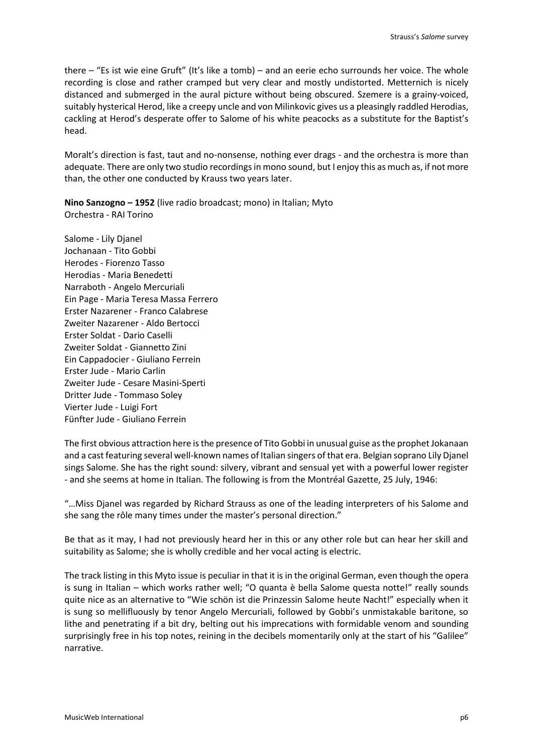there – "Es ist wie eine Gruft" (It's like a tomb) – and an eerie echo surrounds her voice. The whole recording is close and rather cramped but very clear and mostly undistorted. Metternich is nicely distanced and submerged in the aural picture without being obscured. Szemere is a grainy-voiced, suitably hysterical Herod, like a creepy uncle and von Milinkovic gives us a pleasingly raddled Herodias, cackling at Herod's desperate offer to Salome of his white peacocks as a substitute for the Baptist's head.

Moralt's direction is fast, taut and no-nonsense, nothing ever drags - and the orchestra is more than adequate. There are only two studio recordings in mono sound, but I enjoy this as much as, if not more than, the other one conducted by Krauss two years later.

**Nino Sanzogno – 1952** (live radio broadcast; mono) in Italian; Myto Orchestra - RAI Torino

Salome - Lily Djanel Jochanaan - Tito Gobbi Herodes - Fiorenzo Tasso Herodias - Maria Benedetti Narraboth - Angelo Mercuriali Ein Page - Maria Teresa Massa Ferrero Erster Nazarener - Franco Calabrese Zweiter Nazarener - Aldo Bertocci Erster Soldat - Dario Caselli Zweiter Soldat - Giannetto Zini Ein Cappadocier - Giuliano Ferrein Erster Jude - Mario Carlin Zweiter Jude - Cesare Masini-Sperti Dritter Jude - Tommaso Soley Vierter Jude - Luigi Fort Fünfter Jude - Giuliano Ferrein

The first obvious attraction here is the presence of Tito Gobbi in unusual guise as the prophet Jokanaan and a cast featuring several well-known names of Italian singers of that era. Belgian soprano Lily Djanel sings Salome. She has the right sound: silvery, vibrant and sensual yet with a powerful lower register - and she seems at home in Italian. The following is from the Montréal Gazette, 25 July, 1946:

"…Miss Djanel was regarded by Richard Strauss as one of the leading interpreters of his Salome and she sang the rôle many times under the master's personal direction."

Be that as it may, I had not previously heard her in this or any other role but can hear her skill and suitability as Salome; she is wholly credible and her vocal acting is electric.

The track listing in this Myto issue is peculiar in that it is in the original German, even though the opera is sung in Italian – which works rather well; "O quanta è bella Salome questa notte!" really sounds quite nice as an alternative to "Wie schön ist die Prinzessin Salome heute Nacht!" especially when it is sung so mellifluously by tenor Angelo Mercuriali, followed by Gobbi's unmistakable baritone, so lithe and penetrating if a bit dry, belting out his imprecations with formidable venom and sounding surprisingly free in his top notes, reining in the decibels momentarily only at the start of his "Galilee" narrative.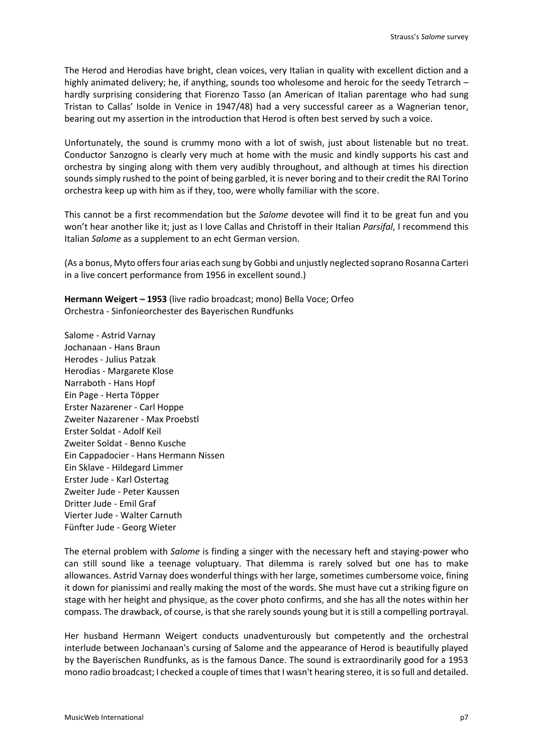The Herod and Herodias have bright, clean voices, very Italian in quality with excellent diction and a highly animated delivery; he, if anything, sounds too wholesome and heroic for the seedy Tetrarch – hardly surprising considering that Fiorenzo Tasso (an American of Italian parentage who had sung Tristan to Callas' Isolde in Venice in 1947/48) had a very successful career as a Wagnerian tenor, bearing out my assertion in the introduction that Herod is often best served by such a voice.

Unfortunately, the sound is crummy mono with a lot of swish, just about listenable but no treat. Conductor Sanzogno is clearly very much at home with the music and kindly supports his cast and orchestra by singing along with them very audibly throughout, and although at times his direction sounds simply rushed to the point of being garbled, it is never boring and to their credit the RAI Torino orchestra keep up with him as if they, too, were wholly familiar with the score.

This cannot be a first recommendation but the *Salome* devotee will find it to be great fun and you won't hear another like it; just as I love Callas and Christoff in their Italian *Parsifal*, I recommend this Italian *Salome* as a supplement to an echt German version.

(As a bonus, Myto offers four arias each sung by Gobbi and unjustly neglected soprano Rosanna Carteri in a live concert performance from 1956 in excellent sound.)

**Hermann Weigert – 1953** (live radio broadcast; mono) Bella Voce; Orfeo Orchestra - Sinfonieorchester des Bayerischen Rundfunks

Salome - Astrid Varnay Jochanaan - Hans Braun Herodes - Julius Patzak Herodias - Margarete Klose Narraboth - Hans Hopf Ein Page - Herta Töpper Erster Nazarener - Carl Hoppe Zweiter Nazarener - Max Proebstl Erster Soldat - Adolf Keil Zweiter Soldat - Benno Kusche Ein Cappadocier - Hans Hermann Nissen Ein Sklave - Hildegard Limmer Erster Jude - Karl Ostertag Zweiter Jude - Peter Kaussen Dritter Jude - Emil Graf Vierter Jude - Walter Carnuth Fünfter Jude - Georg Wieter

The eternal problem with *Salome* is finding a singer with the necessary heft and staying-power who can still sound like a teenage voluptuary. That dilemma is rarely solved but one has to make allowances. Astrid Varnay does wonderful things with her large, sometimes cumbersome voice, fining it down for pianissimi and really making the most of the words. She must have cut a striking figure on stage with her height and physique, as the cover photo confirms, and she has all the notes within her compass. The drawback, of course, is that she rarely sounds young but it is still a compelling portrayal.

Her husband Hermann Weigert conducts unadventurously but competently and the orchestral interlude between Jochanaan's cursing of Salome and the appearance of Herod is beautifully played by the Bayerischen Rundfunks, as is the famous Dance. The sound is extraordinarily good for a 1953 mono radio broadcast; I checked a couple of times that I wasn't hearing stereo, it is so full and detailed.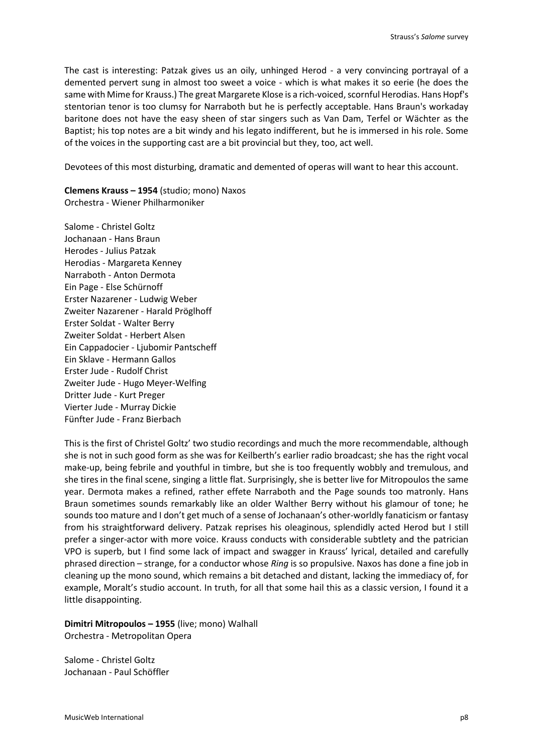The cast is interesting: Patzak gives us an oily, unhinged Herod - a very convincing portrayal of a demented pervert sung in almost too sweet a voice - which is what makes it so eerie (he does the same with Mime for Krauss.) The great Margarete Klose is a rich-voiced, scornful Herodias. Hans Hopf's stentorian tenor is too clumsy for Narraboth but he is perfectly acceptable. Hans Braun's workaday baritone does not have the easy sheen of star singers such as Van Dam, Terfel or Wächter as the Baptist; his top notes are a bit windy and his legato indifferent, but he is immersed in his role. Some of the voices in the supporting cast are a bit provincial but they, too, act well.

Devotees of this most disturbing, dramatic and demented of operas will want to hear this account.

**Clemens Krauss – 1954** (studio; mono) Naxos Orchestra - Wiener Philharmoniker

Salome - Christel Goltz Jochanaan - Hans Braun Herodes - Julius Patzak Herodias - Margareta Kenney Narraboth - Anton Dermota Ein Page - Else Schürnoff Erster Nazarener - Ludwig Weber Zweiter Nazarener - Harald Pröglhoff Erster Soldat - Walter Berry Zweiter Soldat - Herbert Alsen Ein Cappadocier - Ljubomir Pantscheff Ein Sklave - Hermann Gallos Erster Jude - Rudolf Christ Zweiter Jude - Hugo Meyer-Welfing Dritter Jude - Kurt Preger Vierter Jude - Murray Dickie Fünfter Jude - Franz Bierbach

This is the first of Christel Goltz' two studio recordings and much the more recommendable, although she is not in such good form as she was for Keilberth's earlier radio broadcast; she has the right vocal make-up, being febrile and youthful in timbre, but she is too frequently wobbly and tremulous, and she tires in the final scene, singing a little flat. Surprisingly, she is better live for Mitropoulos the same year. Dermota makes a refined, rather effete Narraboth and the Page sounds too matronly. Hans Braun sometimes sounds remarkably like an older Walther Berry without his glamour of tone; he sounds too mature and I don't get much of a sense of Jochanaan's other-worldly fanaticism or fantasy from his straightforward delivery. Patzak reprises his oleaginous, splendidly acted Herod but I still prefer a singer-actor with more voice. Krauss conducts with considerable subtlety and the patrician VPO is superb, but I find some lack of impact and swagger in Krauss' lyrical, detailed and carefully phrased direction – strange, for a conductor whose *Ring* is so propulsive. Naxos has done a fine job in cleaning up the mono sound, which remains a bit detached and distant, lacking the immediacy of, for example, Moralt's studio account. In truth, for all that some hail this as a classic version, I found it a little disappointing.

**Dimitri Mitropoulos – 1955** (live; mono) Walhall Orchestra - Metropolitan Opera

Salome - Christel Goltz Jochanaan - Paul Schöffler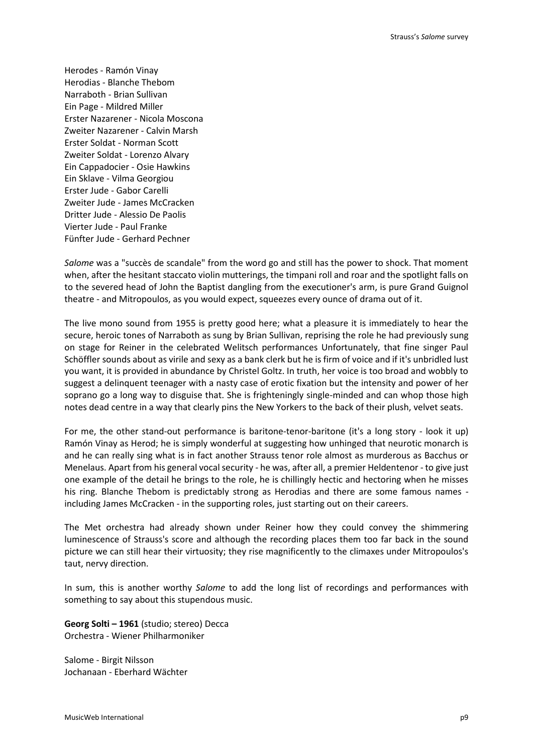Herodes - Ramón Vinay Herodias - Blanche Thebom Narraboth - Brian Sullivan Ein Page - Mildred Miller Erster Nazarener - Nicola Moscona Zweiter Nazarener - Calvin Marsh Erster Soldat - Norman Scott Zweiter Soldat - Lorenzo Alvary Ein Cappadocier - Osie Hawkins Ein Sklave - Vilma Georgiou Erster Jude - Gabor Carelli Zweiter Jude - James McCracken Dritter Jude - Alessio De Paolis Vierter Jude - Paul Franke Fünfter Jude - Gerhard Pechner

*Salome* was a "succès de scandale" from the word go and still has the power to shock. That moment when, after the hesitant staccato violin mutterings, the timpani roll and roar and the spotlight falls on to the severed head of John the Baptist dangling from the executioner's arm, is pure Grand Guignol theatre - and Mitropoulos, as you would expect, squeezes every ounce of drama out of it.

The live mono sound from 1955 is pretty good here; what a pleasure it is immediately to hear the secure, heroic tones of Narraboth as sung by Brian Sullivan, reprising the role he had previously sung on stage for Reiner in the celebrated Welitsch performances Unfortunately, that fine singer Paul Schöffler sounds about as virile and sexy as a bank clerk but he is firm of voice and if it's unbridled lust you want, it is provided in abundance by Christel Goltz. In truth, her voice is too broad and wobbly to suggest a delinquent teenager with a nasty case of erotic fixation but the intensity and power of her soprano go a long way to disguise that. She is frighteningly single-minded and can whop those high notes dead centre in a way that clearly pins the New Yorkers to the back of their plush, velvet seats.

For me, the other stand-out performance is baritone-tenor-baritone (it's a long story - look it up) Ramón Vinay as Herod; he is simply wonderful at suggesting how unhinged that neurotic monarch is and he can really sing what is in fact another Strauss tenor role almost as murderous as Bacchus or Menelaus. Apart from his general vocal security - he was, after all, a premier Heldentenor - to give just one example of the detail he brings to the role, he is chillingly hectic and hectoring when he misses his ring. Blanche Thebom is predictably strong as Herodias and there are some famous names including James McCracken - in the supporting roles, just starting out on their careers.

The Met orchestra had already shown under Reiner how they could convey the shimmering luminescence of Strauss's score and although the recording places them too far back in the sound picture we can still hear their virtuosity; they rise magnificently to the climaxes under Mitropoulos's taut, nervy direction.

In sum, this is another worthy *Salome* to add the long list of recordings and performances with something to say about this stupendous music.

**Georg Solti – 1961** (studio; stereo) Decca Orchestra - Wiener Philharmoniker

Salome - Birgit Nilsson Jochanaan - Eberhard Wächter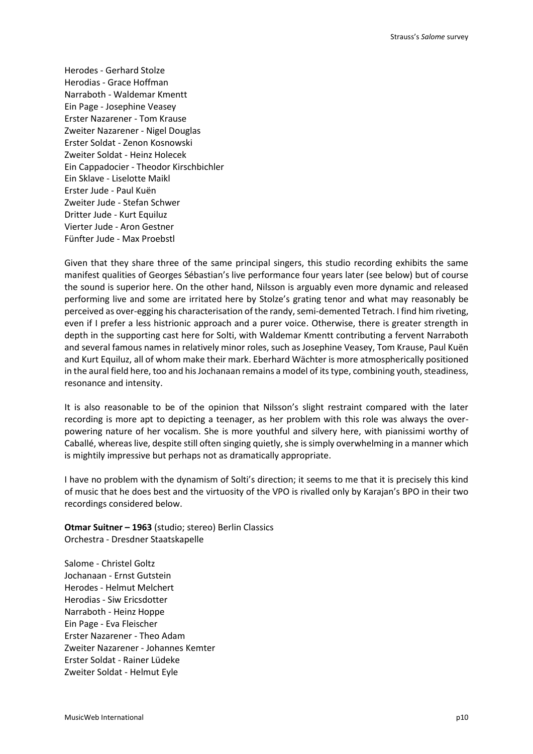Herodes - Gerhard Stolze Herodias - Grace Hoffman Narraboth - Waldemar Kmentt Ein Page - Josephine Veasey Erster Nazarener - Tom Krause Zweiter Nazarener - Nigel Douglas Erster Soldat - Zenon Kosnowski Zweiter Soldat - Heinz Holecek Ein Cappadocier - Theodor Kirschbichler Ein Sklave - Liselotte Maikl Erster Jude - Paul Kuën Zweiter Jude - Stefan Schwer Dritter Jude - Kurt Equiluz Vierter Jude - Aron Gestner Fünfter Jude - Max Proebstl

Given that they share three of the same principal singers, this studio recording exhibits the same manifest qualities of Georges Sébastian's live performance four years later (see below) but of course the sound is superior here. On the other hand, Nilsson is arguably even more dynamic and released performing live and some are irritated here by Stolze's grating tenor and what may reasonably be perceived as over-egging his characterisation of the randy, semi-demented Tetrach. I find him riveting, even if I prefer a less histrionic approach and a purer voice. Otherwise, there is greater strength in depth in the supporting cast here for Solti, with Waldemar Kmentt contributing a fervent Narraboth and several famous names in relatively minor roles, such as Josephine Veasey, Tom Krause, Paul Kuën and Kurt Equiluz, all of whom make their mark. Eberhard Wächter is more atmospherically positioned in the aural field here, too and his Jochanaan remains a model of its type, combining youth, steadiness, resonance and intensity.

It is also reasonable to be of the opinion that Nilsson's slight restraint compared with the later recording is more apt to depicting a teenager, as her problem with this role was always the overpowering nature of her vocalism. She is more youthful and silvery here, with pianissimi worthy of Caballé, whereas live, despite still often singing quietly, she is simply overwhelming in a manner which is mightily impressive but perhaps not as dramatically appropriate.

I have no problem with the dynamism of Solti's direction; it seems to me that it is precisely this kind of music that he does best and the virtuosity of the VPO is rivalled only by Karajan's BPO in their two recordings considered below.

**Otmar Suitner – 1963** (studio; stereo) Berlin Classics Orchestra - Dresdner Staatskapelle

Salome - Christel Goltz Jochanaan - Ernst Gutstein Herodes - Helmut Melchert Herodias - Siw Ericsdotter Narraboth - Heinz Hoppe Ein Page - Eva Fleischer Erster Nazarener - Theo Adam Zweiter Nazarener - Johannes Kemter Erster Soldat - Rainer Lüdeke Zweiter Soldat - Helmut Eyle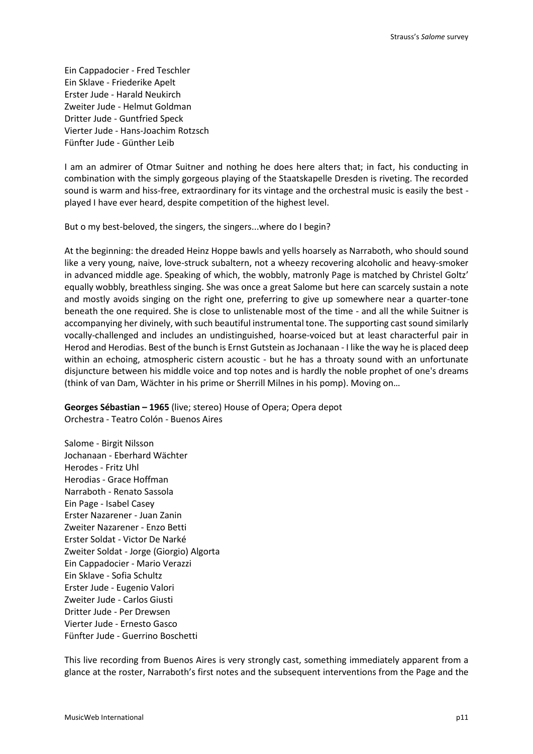Ein Cappadocier - Fred Teschler Ein Sklave - Friederike Apelt Erster Jude - Harald Neukirch Zweiter Jude - Helmut Goldman Dritter Jude - Guntfried Speck Vierter Jude - Hans-Joachim Rotzsch Fünfter Jude - Günther Leib

I am an admirer of Otmar Suitner and nothing he does here alters that; in fact, his conducting in combination with the simply gorgeous playing of the Staatskapelle Dresden is riveting. The recorded sound is warm and hiss-free, extraordinary for its vintage and the orchestral music is easily the best played I have ever heard, despite competition of the highest level.

But o my best-beloved, the singers, the singers...where do I begin?

At the beginning: the dreaded Heinz Hoppe bawls and yells hoarsely as Narraboth, who should sound like a very young, naive, love-struck subaltern, not a wheezy recovering alcoholic and heavy-smoker in advanced middle age. Speaking of which, the wobbly, matronly Page is matched by Christel Goltz' equally wobbly, breathless singing. She was once a great Salome but here can scarcely sustain a note and mostly avoids singing on the right one, preferring to give up somewhere near a quarter-tone beneath the one required. She is close to unlistenable most of the time - and all the while Suitner is accompanying her divinely, with such beautiful instrumental tone. The supporting cast sound similarly vocally-challenged and includes an undistinguished, hoarse-voiced but at least characterful pair in Herod and Herodias. Best of the bunch is Ernst Gutstein as Jochanaan - I like the way he is placed deep within an echoing, atmospheric cistern acoustic - but he has a throaty sound with an unfortunate disjuncture between his middle voice and top notes and is hardly the noble prophet of one's dreams (think of van Dam, Wächter in his prime or Sherrill Milnes in his pomp). Moving on…

**Georges Sébastian – 1965** (live; stereo) House of Opera; Opera depot Orchestra - Teatro Colón - Buenos Aires

Salome - Birgit Nilsson Jochanaan - Eberhard Wächter Herodes - Fritz Uhl Herodias - Grace Hoffman Narraboth - Renato Sassola Ein Page - Isabel Casey Erster Nazarener - Juan Zanin Zweiter Nazarener - Enzo Betti Erster Soldat - Victor De Narké Zweiter Soldat - Jorge (Giorgio) Algorta Ein Cappadocier - Mario Verazzi Ein Sklave - Sofia Schultz Erster Jude - Eugenio Valori Zweiter Jude - Carlos Giusti Dritter Jude - Per Drewsen Vierter Jude - Ernesto Gasco Fünfter Jude - Guerrino Boschetti

This live recording from Buenos Aires is very strongly cast, something immediately apparent from a glance at the roster, Narraboth's first notes and the subsequent interventions from the Page and the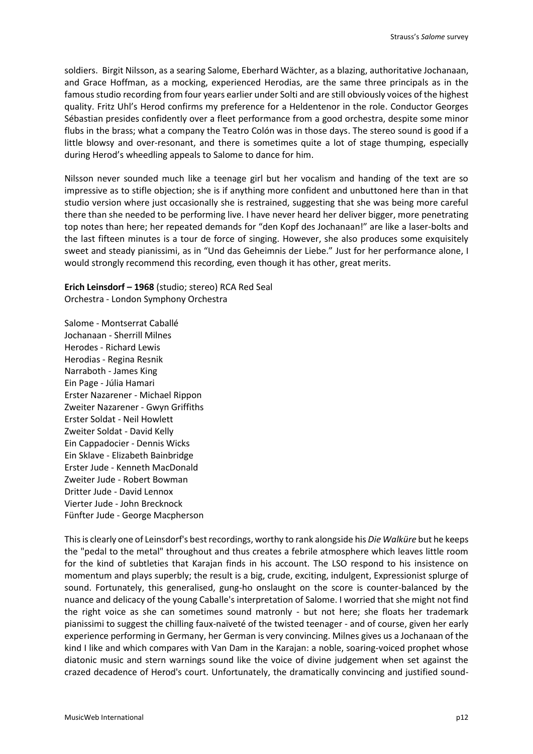soldiers. Birgit Nilsson, as a searing Salome, Eberhard Wächter, as a blazing, authoritative Jochanaan, and Grace Hoffman, as a mocking, experienced Herodias, are the same three principals as in the famous studio recording from four years earlier under Solti and are still obviously voices of the highest quality. Fritz Uhl's Herod confirms my preference for a Heldentenor in the role. Conductor Georges Sébastian presides confidently over a fleet performance from a good orchestra, despite some minor flubs in the brass; what a company the Teatro Colón was in those days. The stereo sound is good if a little blowsy and over-resonant, and there is sometimes quite a lot of stage thumping, especially during Herod's wheedling appeals to Salome to dance for him.

Nilsson never sounded much like a teenage girl but her vocalism and handing of the text are so impressive as to stifle objection; she is if anything more confident and unbuttoned here than in that studio version where just occasionally she is restrained, suggesting that she was being more careful there than she needed to be performing live. I have never heard her deliver bigger, more penetrating top notes than here; her repeated demands for "den Kopf des Jochanaan!" are like a laser-bolts and the last fifteen minutes is a tour de force of singing. However, she also produces some exquisitely sweet and steady pianissimi, as in "Und das Geheimnis der Liebe." Just for her performance alone, I would strongly recommend this recording, even though it has other, great merits.

**Erich Leinsdorf – 1968** (studio; stereo) RCA Red Seal Orchestra - London Symphony Orchestra

Salome - Montserrat Caballé Jochanaan - Sherrill Milnes Herodes - Richard Lewis Herodias - Regina Resnik Narraboth - James King Ein Page - Júlia Hamari Erster Nazarener - Michael Rippon Zweiter Nazarener - Gwyn Griffiths Erster Soldat - Neil Howlett Zweiter Soldat - David Kelly Ein Cappadocier - Dennis Wicks Ein Sklave - Elizabeth Bainbridge Erster Jude - Kenneth MacDonald Zweiter Jude - Robert Bowman Dritter Jude - David Lennox Vierter Jude - John Brecknock Fünfter Jude - George Macpherson

This is clearly one of Leinsdorf's best recordings, worthy to rank alongside his *Die Walküre* but he keeps the "pedal to the metal" throughout and thus creates a febrile atmosphere which leaves little room for the kind of subtleties that Karajan finds in his account. The LSO respond to his insistence on momentum and plays superbly; the result is a big, crude, exciting, indulgent, Expressionist splurge of sound. Fortunately, this generalised, gung-ho onslaught on the score is counter-balanced by the nuance and delicacy of the young Caballe's interpretation of Salome. I worried that she might not find the right voice as she can sometimes sound matronly - but not here; she floats her trademark pianissimi to suggest the chilling faux-naïveté of the twisted teenager - and of course, given her early experience performing in Germany, her German is very convincing. Milnes gives us a Jochanaan of the kind I like and which compares with Van Dam in the Karajan: a noble, soaring-voiced prophet whose diatonic music and stern warnings sound like the voice of divine judgement when set against the crazed decadence of Herod's court. Unfortunately, the dramatically convincing and justified sound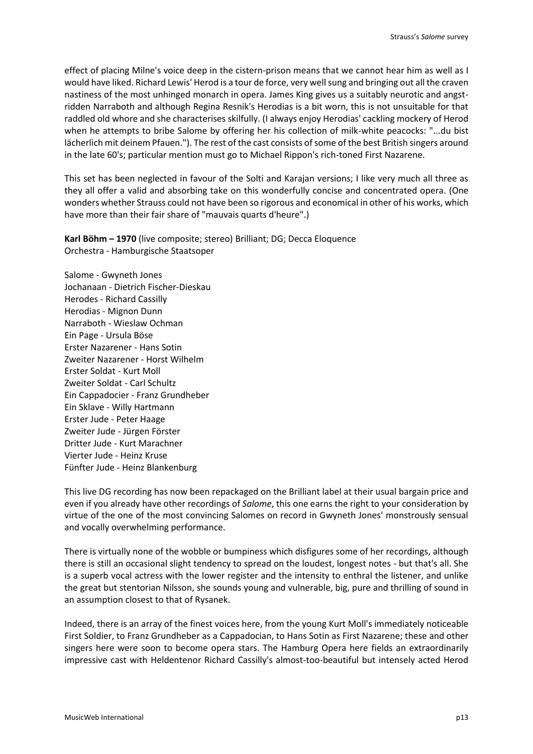effect of placing Milne's voice deep in the cistern-prison means that we cannot hear him as well as I would have liked. Richard Lewis' Herod is a tour de force, very well sung and bringing out all the craven nastiness of the most unhinged monarch in opera. James King gives us a suitably neurotic and angstridden Narraboth and although Regina Resnik's Herodias is a bit worn, this is not unsuitable for that raddled old whore and she characterises skilfully. (I always enjoy Herodias' cackling mockery of Herod when he attempts to bribe Salome by offering her his collection of milk-white peacocks: "...du bist lächerlich mit deinem Pfauen."). The rest of the cast consists of some of the best British singers around in the late 60's; particular mention must go to Michael Rippon's rich-toned First Nazarene.

This set has been neglected in favour of the Solti and Karajan versions; I like very much all three as they all offer a valid and absorbing take on this wonderfully concise and concentrated opera. (One wonders whether Strauss could not have been so rigorous and economical in other of his works, which have more than their fair share of "mauvais quarts d'heure".)

**Karl Böhm – 1970** (live composite; stereo) Brilliant; DG; Decca Eloquence Orchestra - Hamburgische Staatsoper

Salome - Gwyneth Jones Jochanaan - Dietrich Fischer-Dieskau Herodes - Richard Cassilly Herodias - Mignon Dunn Narraboth - Wieslaw Ochman Ein Page - Ursula Böse Erster Nazarener - Hans Sotin Zweiter Nazarener - Horst Wilhelm Erster Soldat - Kurt Moll Zweiter Soldat - Carl Schultz Ein Cappadocier - Franz Grundheber Ein Sklave - Willy Hartmann Erster Jude - Peter Haage Zweiter Jude - Jürgen Förster Dritter Jude - Kurt Marachner Vierter Jude - Heinz Kruse Fünfter Jude - Heinz Blankenburg

This live DG recording has now been repackaged on the Brilliant label at their usual bargain price and even if you already have other recordings of *Salome*, this one earns the right to your consideration by virtue of the one of the most convincing Salomes on record in Gwyneth Jones' monstrously sensual and vocally overwhelming performance.

There is virtually none of the wobble or bumpiness which disfigures some of her recordings, although there is still an occasional slight tendency to spread on the loudest, longest notes - but that's all. She is a superb vocal actress with the lower register and the intensity to enthral the listener, and unlike the great but stentorian Nilsson, she sounds young and vulnerable, big, pure and thrilling of sound in an assumption closest to that of Rysanek.

Indeed, there is an array of the finest voices here, from the young Kurt Moll's immediately noticeable First Soldier, to Franz Grundheber as a Cappadocian, to Hans Sotin as First Nazarene; these and other singers here were soon to become opera stars. The Hamburg Opera here fields an extraordinarily impressive cast with Heldentenor Richard Cassilly's almost-too-beautiful but intensely acted Herod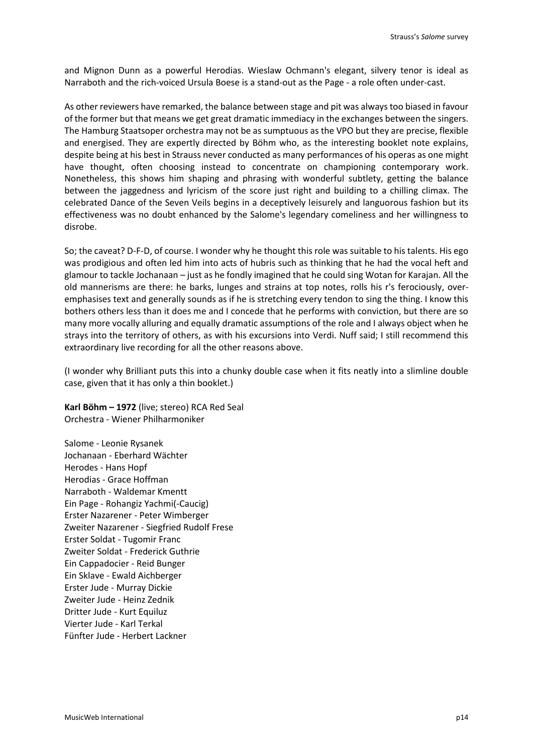and Mignon Dunn as a powerful Herodias. Wieslaw Ochmann's elegant, silvery tenor is ideal as Narraboth and the rich-voiced Ursula Boese is a stand-out as the Page - a role often under-cast.

As other reviewers have remarked, the balance between stage and pit was always too biased in favour of the former but that means we get great dramatic immediacy in the exchanges between the singers. The Hamburg Staatsoper orchestra may not be as sumptuous as the VPO but they are precise, flexible and energised. They are expertly directed by Böhm who, as the interesting booklet note explains, despite being at his best in Strauss never conducted as many performances of his operas as one might have thought, often choosing instead to concentrate on championing contemporary work. Nonetheless, this shows him shaping and phrasing with wonderful subtlety, getting the balance between the jaggedness and lyricism of the score just right and building to a chilling climax. The celebrated Dance of the Seven Veils begins in a deceptively leisurely and languorous fashion but its effectiveness was no doubt enhanced by the Salome's legendary comeliness and her willingness to disrobe.

So; the caveat? D-F-D, of course. I wonder why he thought this role was suitable to his talents. His ego was prodigious and often led him into acts of hubris such as thinking that he had the vocal heft and glamour to tackle Jochanaan – just as he fondly imagined that he could sing Wotan for Karajan. All the old mannerisms are there: he barks, lunges and strains at top notes, rolls his r's ferociously, overemphasises text and generally sounds as if he is stretching every tendon to sing the thing. I know this bothers others less than it does me and I concede that he performs with conviction, but there are so many more vocally alluring and equally dramatic assumptions of the role and I always object when he strays into the territory of others, as with his excursions into Verdi. Nuff said; I still recommend this extraordinary live recording for all the other reasons above.

(I wonder why Brilliant puts this into a chunky double case when it fits neatly into a slimline double case, given that it has only a thin booklet.)

**Karl Böhm – 1972** (live; stereo) RCA Red Seal Orchestra - Wiener Philharmoniker

Salome - Leonie Rysanek Jochanaan - Eberhard Wächter Herodes - Hans Hopf Herodias - Grace Hoffman Narraboth - Waldemar Kmentt Ein Page - Rohangiz Yachmi(-Caucig) Erster Nazarener - Peter Wimberger Zweiter Nazarener - Siegfried Rudolf Frese Erster Soldat - Tugomir Franc Zweiter Soldat - Frederick Guthrie Ein Cappadocier - Reid Bunger Ein Sklave - Ewald Aichberger Erster Jude - Murray Dickie Zweiter Jude - Heinz Zednik Dritter Jude - Kurt Equiluz Vierter Jude - Karl Terkal Fünfter Jude - Herbert Lackner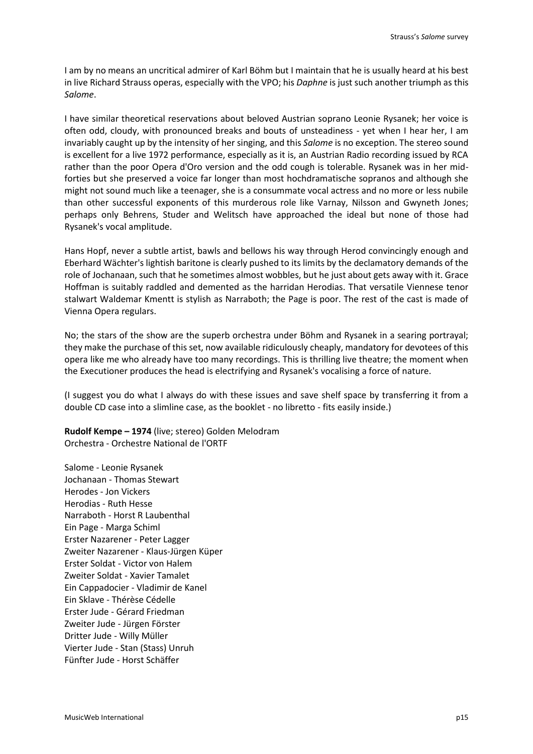I am by no means an uncritical admirer of Karl Böhm but I maintain that he is usually heard at his best in live Richard Strauss operas, especially with the VPO; his *Daphne* is just such another triumph as this *Salome*.

I have similar theoretical reservations about beloved Austrian soprano Leonie Rysanek; her voice is often odd, cloudy, with pronounced breaks and bouts of unsteadiness - yet when I hear her, I am invariably caught up by the intensity of her singing, and this *Salome* is no exception. The stereo sound is excellent for a live 1972 performance, especially as it is, an Austrian Radio recording issued by RCA rather than the poor Opera d'Oro version and the odd cough is tolerable. Rysanek was in her midforties but she preserved a voice far longer than most hochdramatische sopranos and although she might not sound much like a teenager, she is a consummate vocal actress and no more or less nubile than other successful exponents of this murderous role like Varnay, Nilsson and Gwyneth Jones; perhaps only Behrens, Studer and Welitsch have approached the ideal but none of those had Rysanek's vocal amplitude.

Hans Hopf, never a subtle artist, bawls and bellows his way through Herod convincingly enough and Eberhard Wächter's lightish baritone is clearly pushed to its limits by the declamatory demands of the role of Jochanaan, such that he sometimes almost wobbles, but he just about gets away with it. Grace Hoffman is suitably raddled and demented as the harridan Herodias. That versatile Viennese tenor stalwart Waldemar Kmentt is stylish as Narraboth; the Page is poor. The rest of the cast is made of Vienna Opera regulars.

No; the stars of the show are the superb orchestra under Böhm and Rysanek in a searing portrayal; they make the purchase of this set, now available ridiculously cheaply, mandatory for devotees of this opera like me who already have too many recordings. This is thrilling live theatre; the moment when the Executioner produces the head is electrifying and Rysanek's vocalising a force of nature.

(I suggest you do what I always do with these issues and save shelf space by transferring it from a double CD case into a slimline case, as the booklet - no libretto - fits easily inside.)

**Rudolf Kempe – 1974** (live; stereo) Golden Melodram Orchestra - Orchestre National de l'ORTF

Salome - Leonie Rysanek Jochanaan - Thomas Stewart Herodes - Jon Vickers Herodias - Ruth Hesse Narraboth - Horst R Laubenthal Ein Page - Marga Schiml Erster Nazarener - Peter Lagger Zweiter Nazarener - Klaus-Jürgen Küper Erster Soldat - Victor von Halem Zweiter Soldat - Xavier Tamalet Ein Cappadocier - Vladimir de Kanel Ein Sklave - Thérèse Cédelle Erster Jude - Gérard Friedman Zweiter Jude - Jürgen Förster Dritter Jude - Willy Müller Vierter Jude - Stan (Stass) Unruh Fünfter Jude - Horst Schäffer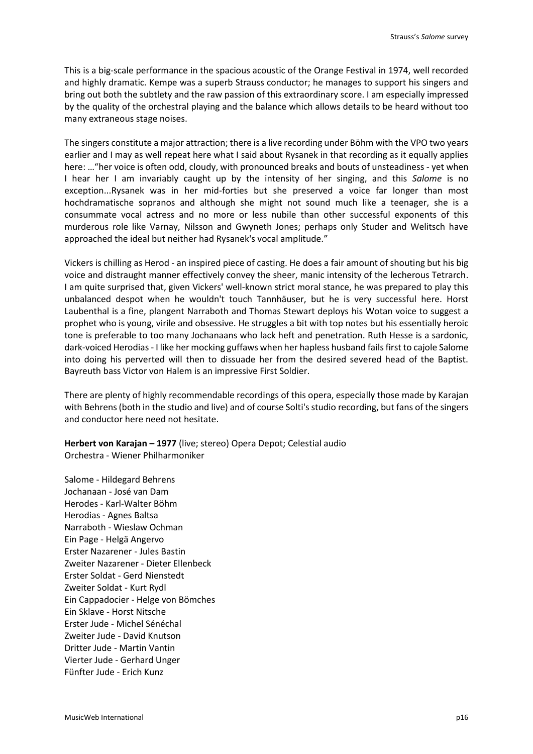This is a big-scale performance in the spacious acoustic of the Orange Festival in 1974, well recorded and highly dramatic. Kempe was a superb Strauss conductor; he manages to support his singers and bring out both the subtlety and the raw passion of this extraordinary score. I am especially impressed by the quality of the orchestral playing and the balance which allows details to be heard without too many extraneous stage noises.

The singers constitute a major attraction; there is a live recording under Böhm with the VPO two years earlier and I may as well repeat here what I said about Rysanek in that recording as it equally applies here: ... "her voice is often odd, cloudy, with pronounced breaks and bouts of unsteadiness - yet when I hear her I am invariably caught up by the intensity of her singing, and this *Salome* is no exception...Rysanek was in her mid-forties but she preserved a voice far longer than most hochdramatische sopranos and although she might not sound much like a teenager, she is a consummate vocal actress and no more or less nubile than other successful exponents of this murderous role like Varnay, Nilsson and Gwyneth Jones; perhaps only Studer and Welitsch have approached the ideal but neither had Rysanek's vocal amplitude."

Vickers is chilling as Herod - an inspired piece of casting. He does a fair amount of shouting but his big voice and distraught manner effectively convey the sheer, manic intensity of the lecherous Tetrarch. I am quite surprised that, given Vickers' well-known strict moral stance, he was prepared to play this unbalanced despot when he wouldn't touch Tannhäuser, but he is very successful here. Horst Laubenthal is a fine, plangent Narraboth and Thomas Stewart deploys his Wotan voice to suggest a prophet who is young, virile and obsessive. He struggles a bit with top notes but his essentially heroic tone is preferable to too many Jochanaans who lack heft and penetration. Ruth Hesse is a sardonic, dark-voiced Herodias - I like her mocking guffaws when her hapless husband fails first to cajole Salome into doing his perverted will then to dissuade her from the desired severed head of the Baptist. Bayreuth bass Victor von Halem is an impressive First Soldier.

There are plenty of highly recommendable recordings of this opera, especially those made by Karajan with Behrens (both in the studio and live) and of course Solti's studio recording, but fans of the singers and conductor here need not hesitate.

**Herbert von Karajan – 1977** (live; stereo) Opera Depot; Celestial audio Orchestra - Wiener Philharmoniker

Salome - Hildegard Behrens Jochanaan - José van Dam Herodes - Karl-Walter Böhm Herodias - Agnes Baltsa Narraboth - Wieslaw Ochman Ein Page - Helgä Angervo Erster Nazarener - Jules Bastin Zweiter Nazarener - Dieter Ellenbeck Erster Soldat - Gerd Nienstedt Zweiter Soldat - Kurt Rydl Ein Cappadocier - Helge von Bömches Ein Sklave - Horst Nitsche Erster Jude - Michel Sénéchal Zweiter Jude - David Knutson Dritter Jude - Martin Vantin Vierter Jude - Gerhard Unger Fünfter Jude - Erich Kunz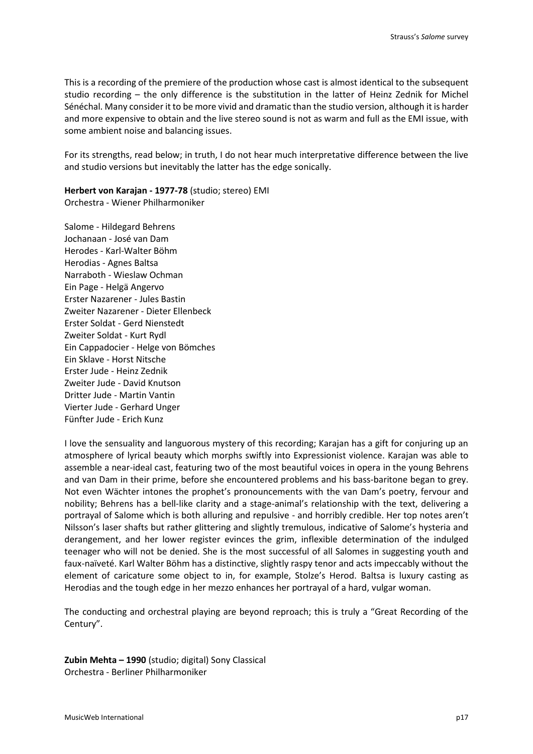This is a recording of the premiere of the production whose cast is almost identical to the subsequent studio recording – the only difference is the substitution in the latter of Heinz Zednik for Michel Sénéchal. Many consider it to be more vivid and dramatic than the studio version, although it is harder and more expensive to obtain and the live stereo sound is not as warm and full as the EMI issue, with some ambient noise and balancing issues.

For its strengths, read below; in truth, I do not hear much interpretative difference between the live and studio versions but inevitably the latter has the edge sonically.

**Herbert von Karajan - 1977-78** (studio; stereo) EMI Orchestra - Wiener Philharmoniker

Salome - Hildegard Behrens Jochanaan - José van Dam Herodes - Karl-Walter Böhm Herodias - Agnes Baltsa Narraboth - Wieslaw Ochman Ein Page - Helgä Angervo Erster Nazarener - Jules Bastin Zweiter Nazarener - Dieter Ellenbeck Erster Soldat - Gerd Nienstedt Zweiter Soldat - Kurt Rydl Ein Cappadocier - Helge von Bömches Ein Sklave - Horst Nitsche Erster Jude - Heinz Zednik Zweiter Jude - David Knutson Dritter Jude - Martin Vantin Vierter Jude - Gerhard Unger Fünfter Jude - Erich Kunz

I love the sensuality and languorous mystery of this recording; Karajan has a gift for conjuring up an atmosphere of lyrical beauty which morphs swiftly into Expressionist violence. Karajan was able to assemble a near-ideal cast, featuring two of the most beautiful voices in opera in the young Behrens and van Dam in their prime, before she encountered problems and his bass-baritone began to grey. Not even Wächter intones the prophet's pronouncements with the van Dam's poetry, fervour and nobility; Behrens has a bell-like clarity and a stage-animal's relationship with the text, delivering a portrayal of Salome which is both alluring and repulsive - and horribly credible. Her top notes aren't Nilsson's laser shafts but rather glittering and slightly tremulous, indicative of Salome's hysteria and derangement, and her lower register evinces the grim, inflexible determination of the indulged teenager who will not be denied. She is the most successful of all Salomes in suggesting youth and faux-naïveté. Karl Walter Böhm has a distinctive, slightly raspy tenor and acts impeccably without the element of caricature some object to in, for example, Stolze's Herod. Baltsa is luxury casting as Herodias and the tough edge in her mezzo enhances her portrayal of a hard, vulgar woman.

The conducting and orchestral playing are beyond reproach; this is truly a "Great Recording of the Century".

**Zubin Mehta – 1990** (studio; digital) Sony Classical Orchestra - Berliner Philharmoniker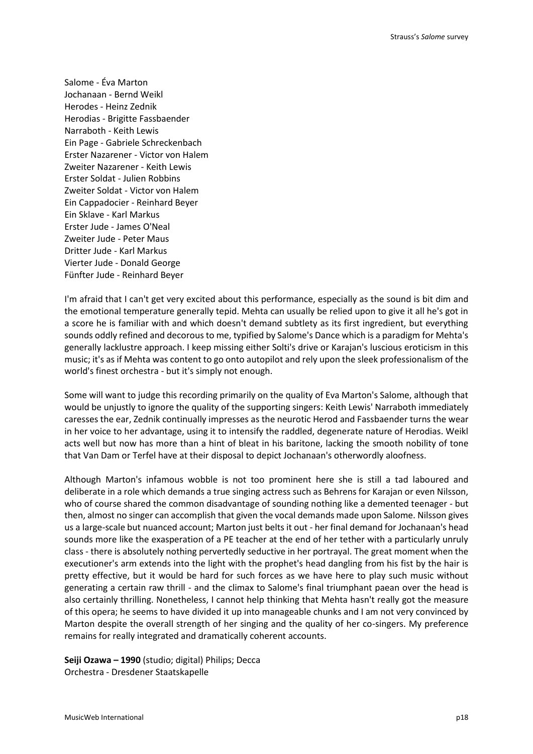Salome - Éva Marton Jochanaan - Bernd Weikl Herodes - Heinz Zednik Herodias - Brigitte Fassbaender Narraboth - Keith Lewis Ein Page - Gabriele Schreckenbach Erster Nazarener - Victor von Halem Zweiter Nazarener - Keith Lewis Erster Soldat - Julien Robbins Zweiter Soldat - Victor von Halem Ein Cappadocier - Reinhard Beyer Ein Sklave - Karl Markus Erster Jude - James O'Neal Zweiter Jude - Peter Maus Dritter Jude - Karl Markus Vierter Jude - Donald George Fünfter Jude - Reinhard Beyer

I'm afraid that I can't get very excited about this performance, especially as the sound is bit dim and the emotional temperature generally tepid. Mehta can usually be relied upon to give it all he's got in a score he is familiar with and which doesn't demand subtlety as its first ingredient, but everything sounds oddly refined and decorous to me, typified by Salome's Dance which is a paradigm for Mehta's generally lacklustre approach. I keep missing either Solti's drive or Karajan's luscious eroticism in this music; it's as if Mehta was content to go onto autopilot and rely upon the sleek professionalism of the world's finest orchestra - but it's simply not enough.

Some will want to judge this recording primarily on the quality of Eva Marton's Salome, although that would be unjustly to ignore the quality of the supporting singers: Keith Lewis' Narraboth immediately caresses the ear, Zednik continually impresses as the neurotic Herod and Fassbaender turns the wear in her voice to her advantage, using it to intensify the raddled, degenerate nature of Herodias. Weikl acts well but now has more than a hint of bleat in his baritone, lacking the smooth nobility of tone that Van Dam or Terfel have at their disposal to depict Jochanaan's otherwordly aloofness.

Although Marton's infamous wobble is not too prominent here she is still a tad laboured and deliberate in a role which demands a true singing actress such as Behrens for Karajan or even Nilsson, who of course shared the common disadvantage of sounding nothing like a demented teenager - but then, almost no singer can accomplish that given the vocal demands made upon Salome. Nilsson gives us a large-scale but nuanced account; Marton just belts it out - her final demand for Jochanaan's head sounds more like the exasperation of a PE teacher at the end of her tether with a particularly unruly class - there is absolutely nothing pervertedly seductive in her portrayal. The great moment when the executioner's arm extends into the light with the prophet's head dangling from his fist by the hair is pretty effective, but it would be hard for such forces as we have here to play such music without generating a certain raw thrill - and the climax to Salome's final triumphant paean over the head is also certainly thrilling. Nonetheless, I cannot help thinking that Mehta hasn't really got the measure of this opera; he seems to have divided it up into manageable chunks and I am not very convinced by Marton despite the overall strength of her singing and the quality of her co-singers. My preference remains for really integrated and dramatically coherent accounts.

**Seiji Ozawa – 1990** (studio; digital) Philips; Decca Orchestra - Dresdener Staatskapelle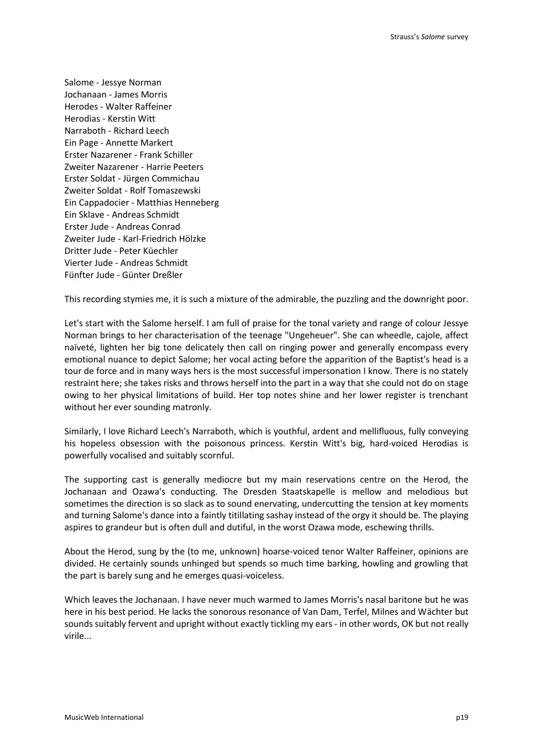Salome - Jessye Norman Jochanaan - James Morris Herodes - Walter Raffeiner Herodias - Kerstin Witt Narraboth - Richard Leech Ein Page - Annette Markert Erster Nazarener - Frank Schiller Zweiter Nazarener - Harrie Peeters Erster Soldat - Jürgen Commichau Zweiter Soldat - Rolf Tomaszewski Ein Cappadocier - Matthias Henneberg Ein Sklave - Andreas Schmidt Erster Jude - Andreas Conrad Zweiter Jude - Karl-Friedrich Hölzke Dritter Jude - Peter Küechler Vierter Jude - Andreas Schmidt Fünfter Jude - Günter Dreßler

This recording stymies me, it is such a mixture of the admirable, the puzzling and the downright poor.

Let's start with the Salome herself. I am full of praise for the tonal variety and range of colour Jessye Norman brings to her characterisation of the teenage "Ungeheuer". She can wheedle, cajole, affect naïveté, lighten her big tone delicately then call on ringing power and generally encompass every emotional nuance to depict Salome; her vocal acting before the apparition of the Baptist's head is a tour de force and in many ways hers is the most successful impersonation I know. There is no stately restraint here; she takes risks and throws herself into the part in a way that she could not do on stage owing to her physical limitations of build. Her top notes shine and her lower register is trenchant without her ever sounding matronly.

Similarly, I love Richard Leech's Narraboth, which is youthful, ardent and mellifluous, fully conveying his hopeless obsession with the poisonous princess. Kerstin Witt's big, hard-voiced Herodias is powerfully vocalised and suitably scornful.

The supporting cast is generally mediocre but my main reservations centre on the Herod, the Jochanaan and Ozawa's conducting. The Dresden Staatskapelle is mellow and melodious but sometimes the direction is so slack as to sound enervating, undercutting the tension at key moments and turning Salome's dance into a faintly titillating sashay instead of the orgy it should be. The playing aspires to grandeur but is often dull and dutiful, in the worst Ozawa mode, eschewing thrills.

About the Herod, sung by the (to me, unknown) hoarse-voiced tenor Walter Raffeiner, opinions are divided. He certainly sounds unhinged but spends so much time barking, howling and growling that the part is barely sung and he emerges quasi-voiceless.

Which leaves the Jochanaan. I have never much warmed to James Morris's nasal baritone but he was here in his best period. He lacks the sonorous resonance of Van Dam, Terfel, Milnes and Wächter but sounds suitably fervent and upright without exactly tickling my ears - in other words, OK but not really virile...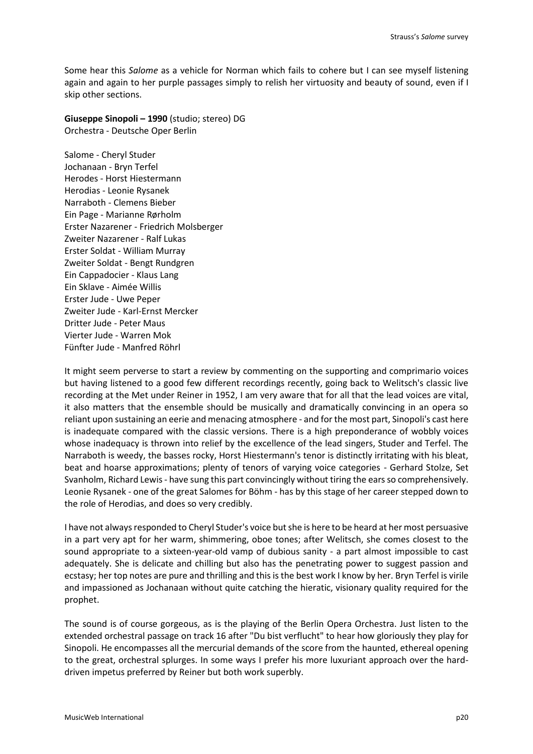Some hear this *Salome* as a vehicle for Norman which fails to cohere but I can see myself listening again and again to her purple passages simply to relish her virtuosity and beauty of sound, even if I skip other sections.

**Giuseppe Sinopoli – 1990** (studio; stereo) DG Orchestra - Deutsche Oper Berlin

Salome - Cheryl Studer Jochanaan - Bryn Terfel Herodes - Horst Hiestermann Herodias - Leonie Rysanek Narraboth - Clemens Bieber Ein Page - Marianne Rørholm Erster Nazarener - Friedrich Molsberger Zweiter Nazarener - Ralf Lukas Erster Soldat - William Murray Zweiter Soldat - Bengt Rundgren Ein Cappadocier - Klaus Lang Ein Sklave - Aimée Willis Erster Jude - Uwe Peper Zweiter Jude - Karl-Ernst Mercker Dritter Jude - Peter Maus Vierter Jude - Warren Mok Fünfter Jude - Manfred Röhrl

It might seem perverse to start a review by commenting on the supporting and comprimario voices but having listened to a good few different recordings recently, going back to Welitsch's classic live recording at the Met under Reiner in 1952, I am very aware that for all that the lead voices are vital, it also matters that the ensemble should be musically and dramatically convincing in an opera so reliant upon sustaining an eerie and menacing atmosphere - and for the most part, Sinopoli's cast here is inadequate compared with the classic versions. There is a high preponderance of wobbly voices whose inadequacy is thrown into relief by the excellence of the lead singers, Studer and Terfel. The Narraboth is weedy, the basses rocky, Horst Hiestermann's tenor is distinctly irritating with his bleat, beat and hoarse approximations; plenty of tenors of varying voice categories - Gerhard Stolze, Set Svanholm, Richard Lewis - have sung this part convincingly without tiring the ears so comprehensively. Leonie Rysanek - one of the great Salomes for Böhm - has by this stage of her career stepped down to the role of Herodias, and does so very credibly.

I have not always responded to Cheryl Studer's voice but she is here to be heard at her most persuasive in a part very apt for her warm, shimmering, oboe tones; after Welitsch, she comes closest to the sound appropriate to a sixteen-year-old vamp of dubious sanity - a part almost impossible to cast adequately. She is delicate and chilling but also has the penetrating power to suggest passion and ecstasy; her top notes are pure and thrilling and this is the best work I know by her. Bryn Terfel is virile and impassioned as Jochanaan without quite catching the hieratic, visionary quality required for the prophet.

The sound is of course gorgeous, as is the playing of the Berlin Opera Orchestra. Just listen to the extended orchestral passage on track 16 after "Du bist verflucht" to hear how gloriously they play for Sinopoli. He encompasses all the mercurial demands of the score from the haunted, ethereal opening to the great, orchestral splurges. In some ways I prefer his more luxuriant approach over the harddriven impetus preferred by Reiner but both work superbly.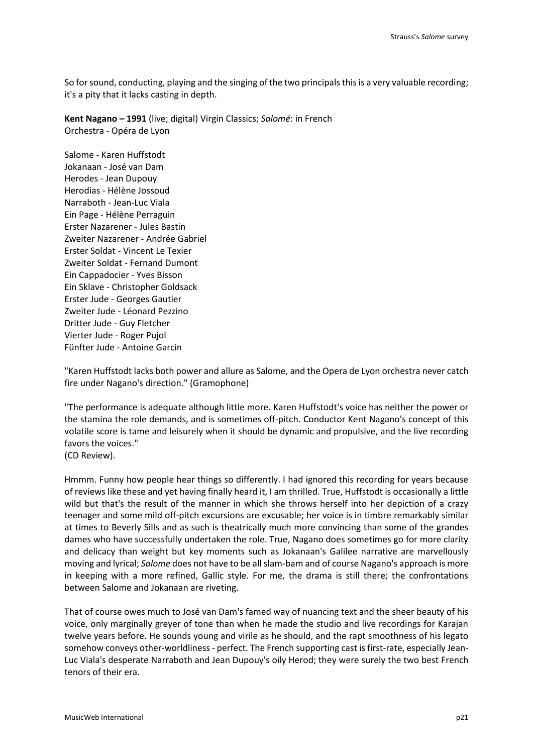So for sound, conducting, playing and the singing of the two principals this is a very valuable recording; it's a pity that it lacks casting in depth.

**Kent Nagano – 1991** (live; digital) Virgin Classics; *Salomé*: in French Orchestra - Opéra de Lyon

Salome - Karen Huffstodt Jokanaan - José van Dam Herodes - Jean Dupouy Herodias - Hélène Jossoud Narraboth - Jean-Luc Viala Ein Page - Hélène Perraguin Erster Nazarener - Jules Bastin Zweiter Nazarener - Andrée Gabriel Erster Soldat - Vincent Le Texier Zweiter Soldat - Fernand Dumont Ein Cappadocier - Yves Bisson Ein Sklave - Christopher Goldsack Erster Jude - Georges Gautier Zweiter Jude - Léonard Pezzino Dritter Jude - Guy Fletcher Vierter Jude - Roger Pujol Fünfter Jude - Antoine Garcin

"Karen Huffstodt lacks both power and allure as Salome, and the Opera de Lyon orchestra never catch fire under Nagano's direction." (Gramophone)

"The performance is adequate although little more. Karen Huffstodt's voice has neither the power or the stamina the role demands, and is sometimes off-pitch. Conductor Kent Nagano's concept of this volatile score is tame and leisurely when it should be dynamic and propulsive, and the live recording favors the voices."

(CD Review).

Hmmm. Funny how people hear things so differently. I had ignored this recording for years because of reviews like these and yet having finally heard it, I am thrilled. True, Huffstodt is occasionally a little wild but that's the result of the manner in which she throws herself into her depiction of a crazy teenager and some mild off-pitch excursions are excusable; her voice is in timbre remarkably similar at times to Beverly Sills and as such is theatrically much more convincing than some of the grandes dames who have successfully undertaken the role. True, Nagano does sometimes go for more clarity and delicacy than weight but key moments such as Jokanaan's Galilee narrative are marvellously moving and lyrical; *Salome* does not have to be all slam-bam and of course Nagano's approach is more in keeping with a more refined, Gallic style. For me, the drama is still there; the confrontations between Salome and Jokanaan are riveting.

That of course owes much to José van Dam's famed way of nuancing text and the sheer beauty of his voice, only marginally greyer of tone than when he made the studio and live recordings for Karajan twelve years before. He sounds young and virile as he should, and the rapt smoothness of his legato somehow conveys other-worldliness - perfect. The French supporting cast is first-rate, especially Jean-Luc Viala's desperate Narraboth and Jean Dupouy's oily Herod; they were surely the two best French tenors of their era.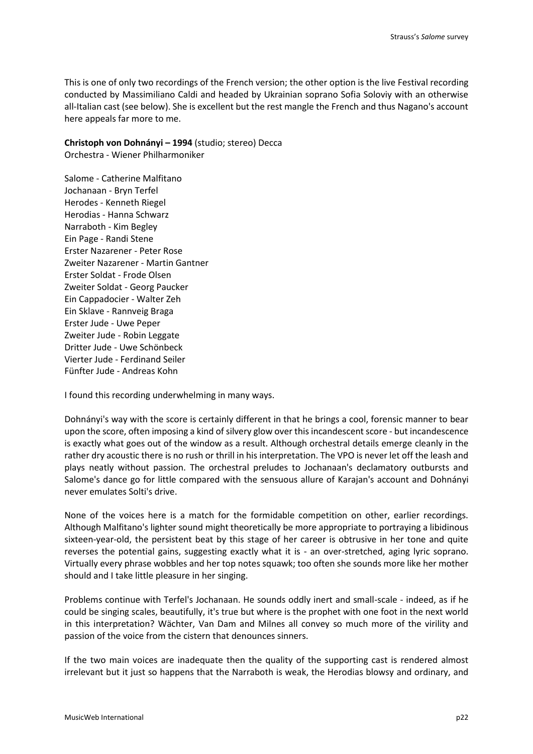This is one of only two recordings of the French version; the other option is the live Festival recording conducted by Massimiliano Caldi and headed by Ukrainian soprano Sofia Soloviy with an otherwise all-Italian cast (see below). She is excellent but the rest mangle the French and thus Nagano's account here appeals far more to me.

**Christoph von Dohnányi – 1994** (studio; stereo) Decca Orchestra - Wiener Philharmoniker

Salome - Catherine Malfitano Jochanaan - Bryn Terfel Herodes - Kenneth Riegel Herodias - Hanna Schwarz Narraboth - Kim Begley Ein Page - Randi Stene Erster Nazarener - Peter Rose Zweiter Nazarener - Martin Gantner Erster Soldat - Frode Olsen Zweiter Soldat - Georg Paucker Ein Cappadocier - Walter Zeh Ein Sklave - Rannveig Braga Erster Jude - Uwe Peper Zweiter Jude - Robin Leggate Dritter Jude - Uwe Schönbeck Vierter Jude - Ferdinand Seiler Fünfter Jude - Andreas Kohn

I found this recording underwhelming in many ways.

Dohnányi's way with the score is certainly different in that he brings a cool, forensic manner to bear upon the score, often imposing a kind of silvery glow over this incandescent score - but incandescence is exactly what goes out of the window as a result. Although orchestral details emerge cleanly in the rather dry acoustic there is no rush or thrill in his interpretation. The VPO is never let off the leash and plays neatly without passion. The orchestral preludes to Jochanaan's declamatory outbursts and Salome's dance go for little compared with the sensuous allure of Karajan's account and Dohnányi never emulates Solti's drive.

None of the voices here is a match for the formidable competition on other, earlier recordings. Although Malfitano's lighter sound might theoretically be more appropriate to portraying a libidinous sixteen-year-old, the persistent beat by this stage of her career is obtrusive in her tone and quite reverses the potential gains, suggesting exactly what it is - an over-stretched, aging lyric soprano. Virtually every phrase wobbles and her top notes squawk; too often she sounds more like her mother should and I take little pleasure in her singing.

Problems continue with Terfel's Jochanaan. He sounds oddly inert and small-scale - indeed, as if he could be singing scales, beautifully, it's true but where is the prophet with one foot in the next world in this interpretation? Wächter, Van Dam and Milnes all convey so much more of the virility and passion of the voice from the cistern that denounces sinners.

If the two main voices are inadequate then the quality of the supporting cast is rendered almost irrelevant but it just so happens that the Narraboth is weak, the Herodias blowsy and ordinary, and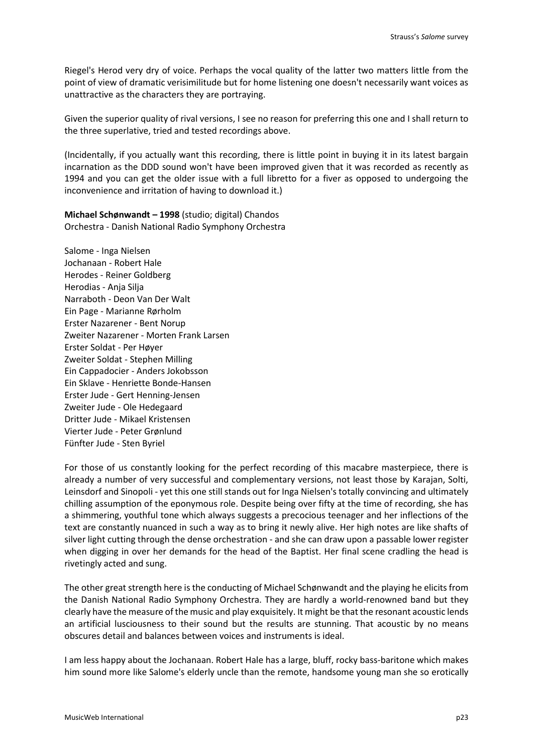Riegel's Herod very dry of voice. Perhaps the vocal quality of the latter two matters little from the point of view of dramatic verisimilitude but for home listening one doesn't necessarily want voices as unattractive as the characters they are portraying.

Given the superior quality of rival versions, I see no reason for preferring this one and I shall return to the three superlative, tried and tested recordings above.

(Incidentally, if you actually want this recording, there is little point in buying it in its latest bargain incarnation as the DDD sound won't have been improved given that it was recorded as recently as 1994 and you can get the older issue with a full libretto for a fiver as opposed to undergoing the inconvenience and irritation of having to download it.)

**Michael Schønwandt – 1998** (studio; digital) Chandos Orchestra - Danish National Radio Symphony Orchestra

Salome - Inga Nielsen Jochanaan - Robert Hale Herodes - Reiner Goldberg Herodias - Anja Silja Narraboth - Deon Van Der Walt Ein Page - Marianne Rørholm Erster Nazarener - Bent Norup Zweiter Nazarener - Morten Frank Larsen Erster Soldat - Per Høyer Zweiter Soldat - Stephen Milling Ein Cappadocier - Anders Jokobsson Ein Sklave - Henriette Bonde-Hansen Erster Jude - Gert Henning-Jensen Zweiter Jude - Ole Hedegaard Dritter Jude - Mikael Kristensen Vierter Jude - Peter Grønlund Fünfter Jude - Sten Byriel

For those of us constantly looking for the perfect recording of this macabre masterpiece, there is already a number of very successful and complementary versions, not least those by Karajan, Solti, Leinsdorf and Sinopoli - yet this one still stands out for Inga Nielsen's totally convincing and ultimately chilling assumption of the eponymous role. Despite being over fifty at the time of recording, she has a shimmering, youthful tone which always suggests a precocious teenager and her inflections of the text are constantly nuanced in such a way as to bring it newly alive. Her high notes are like shafts of silver light cutting through the dense orchestration - and she can draw upon a passable lower register when digging in over her demands for the head of the Baptist. Her final scene cradling the head is rivetingly acted and sung.

The other great strength here is the conducting of Michael Schønwandt and the playing he elicits from the Danish National Radio Symphony Orchestra. They are hardly a world-renowned band but they clearly have the measure of the music and play exquisitely. It might be that the resonant acoustic lends an artificial lusciousness to their sound but the results are stunning. That acoustic by no means obscures detail and balances between voices and instruments is ideal.

I am less happy about the Jochanaan. Robert Hale has a large, bluff, rocky bass-baritone which makes him sound more like Salome's elderly uncle than the remote, handsome young man she so erotically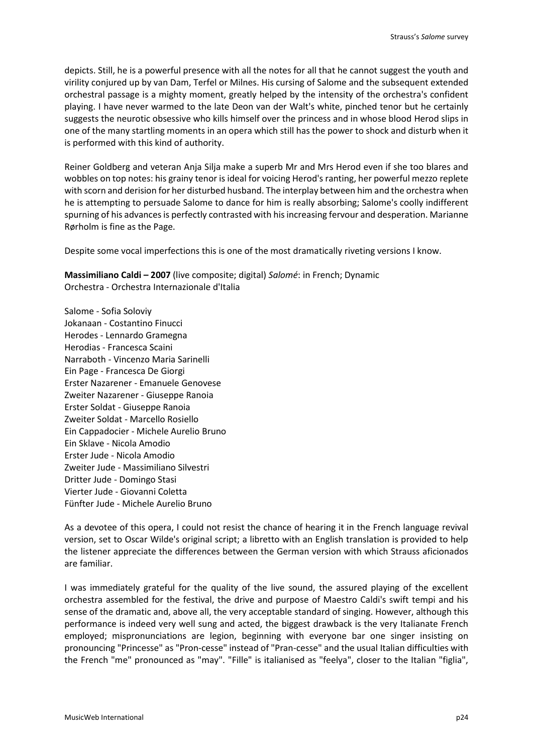depicts. Still, he is a powerful presence with all the notes for all that he cannot suggest the youth and virility conjured up by van Dam, Terfel or Milnes. His cursing of Salome and the subsequent extended orchestral passage is a mighty moment, greatly helped by the intensity of the orchestra's confident playing. I have never warmed to the late Deon van der Walt's white, pinched tenor but he certainly suggests the neurotic obsessive who kills himself over the princess and in whose blood Herod slips in one of the many startling moments in an opera which still has the power to shock and disturb when it is performed with this kind of authority.

Reiner Goldberg and veteran Anja Silja make a superb Mr and Mrs Herod even if she too blares and wobbles on top notes: his grainy tenor is ideal for voicing Herod's ranting, her powerful mezzo replete with scorn and derision for her disturbed husband. The interplay between him and the orchestra when he is attempting to persuade Salome to dance for him is really absorbing; Salome's coolly indifferent spurning of his advances is perfectly contrasted with his increasing fervour and desperation. Marianne Rørholm is fine as the Page.

Despite some vocal imperfections this is one of the most dramatically riveting versions I know.

**Massimiliano Caldi – 2007** (live composite; digital) *Salomé*: in French; Dynamic Orchestra - Orchestra Internazionale d'Italia

Salome - Sofia Soloviy Jokanaan - Costantino Finucci Herodes - Lennardo Gramegna Herodias - Francesca Scaini Narraboth - Vincenzo Maria Sarinelli Ein Page - Francesca De Giorgi Erster Nazarener - Emanuele Genovese Zweiter Nazarener - Giuseppe Ranoia Erster Soldat - Giuseppe Ranoia Zweiter Soldat - Marcello Rosiello Ein Cappadocier - Michele Aurelio Bruno Ein Sklave - Nicola Amodio Erster Jude - Nicola Amodio Zweiter Jude - Massimiliano Silvestri Dritter Jude - Domingo Stasi Vierter Jude - Giovanni Coletta Fünfter Jude - Michele Aurelio Bruno

As a devotee of this opera, I could not resist the chance of hearing it in the French language revival version, set to Oscar Wilde's original script; a libretto with an English translation is provided to help the listener appreciate the differences between the German version with which Strauss aficionados are familiar.

I was immediately grateful for the quality of the live sound, the assured playing of the excellent orchestra assembled for the festival, the drive and purpose of Maestro Caldi's swift tempi and his sense of the dramatic and, above all, the very acceptable standard of singing. However, although this performance is indeed very well sung and acted, the biggest drawback is the very Italianate French employed; mispronunciations are legion, beginning with everyone bar one singer insisting on pronouncing "Princesse" as "Pron-cesse" instead of "Pran-cesse" and the usual Italian difficulties with the French "me" pronounced as "may". "Fille" is italianised as "feelya", closer to the Italian "figlia",